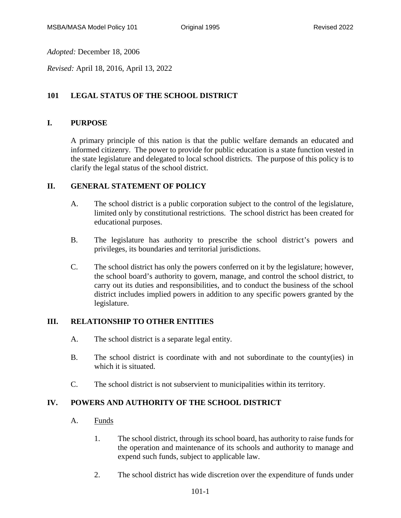*Adopted:* December 18, 2006

*Revised:* April 18, 2016, April 13, 2022

# **101 LEGAL STATUS OF THE SCHOOL DISTRICT**

### **I. PURPOSE**

A primary principle of this nation is that the public welfare demands an educated and informed citizenry. The power to provide for public education is a state function vested in the state legislature and delegated to local school districts. The purpose of this policy is to clarify the legal status of the school district.

#### **II. GENERAL STATEMENT OF POLICY**

- A. The school district is a public corporation subject to the control of the legislature, limited only by constitutional restrictions. The school district has been created for educational purposes.
- B. The legislature has authority to prescribe the school district's powers and privileges, its boundaries and territorial jurisdictions.
- C. The school district has only the powers conferred on it by the legislature; however, the school board's authority to govern, manage, and control the school district, to carry out its duties and responsibilities, and to conduct the business of the school district includes implied powers in addition to any specific powers granted by the legislature.

#### **III. RELATIONSHIP TO OTHER ENTITIES**

- A. The school district is a separate legal entity.
- B. The school district is coordinate with and not subordinate to the county(ies) in which it is situated.
- C. The school district is not subservient to municipalities within its territory.

### **IV. POWERS AND AUTHORITY OF THE SCHOOL DISTRICT**

- A. Funds
	- 1. The school district, through its school board, has authority to raise funds for the operation and maintenance of its schools and authority to manage and expend such funds, subject to applicable law.
	- 2. The school district has wide discretion over the expenditure of funds under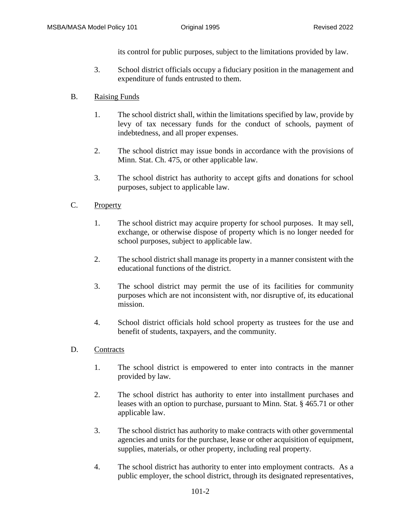its control for public purposes, subject to the limitations provided by law.

- 3. School district officials occupy a fiduciary position in the management and expenditure of funds entrusted to them.
- B. Raising Funds
	- 1. The school district shall, within the limitations specified by law, provide by levy of tax necessary funds for the conduct of schools, payment of indebtedness, and all proper expenses.
	- 2. The school district may issue bonds in accordance with the provisions of Minn. Stat. Ch. 475, or other applicable law.
	- 3. The school district has authority to accept gifts and donations for school purposes, subject to applicable law.

## C. Property

- 1. The school district may acquire property for school purposes. It may sell, exchange, or otherwise dispose of property which is no longer needed for school purposes, subject to applicable law.
- 2. The school district shall manage its property in a manner consistent with the educational functions of the district.
- 3. The school district may permit the use of its facilities for community purposes which are not inconsistent with, nor disruptive of, its educational mission.
- 4. School district officials hold school property as trustees for the use and benefit of students, taxpayers, and the community.
- D. Contracts
	- 1. The school district is empowered to enter into contracts in the manner provided by law.
	- 2. The school district has authority to enter into installment purchases and leases with an option to purchase, pursuant to Minn. Stat. § 465.71 or other applicable law.
	- 3. The school district has authority to make contracts with other governmental agencies and units for the purchase, lease or other acquisition of equipment, supplies, materials, or other property, including real property.
	- 4. The school district has authority to enter into employment contracts. As a public employer, the school district, through its designated representatives,